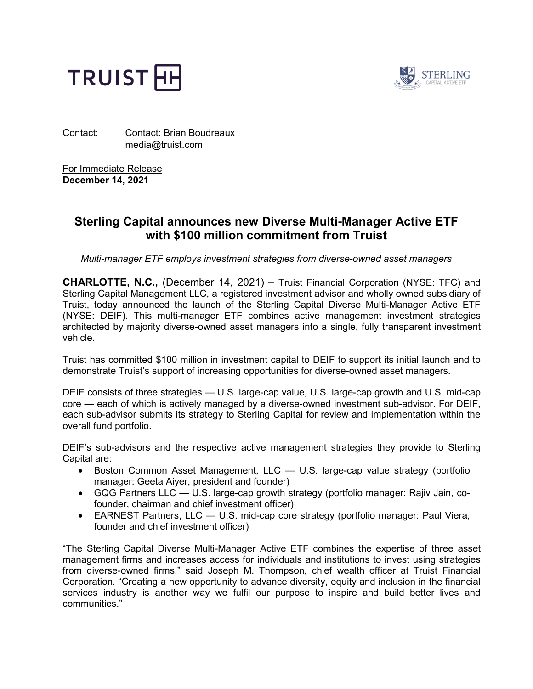



Contact: Contact: Brian Boudreaux media@truist.com

For Immediate Release **December 14, 2021**

# **Sterling Capital announces new Diverse Multi-Manager Active ETF with \$100 million commitment from Truist**

*Multi-manager ETF employs investment strategies from diverse-owned asset managers*

**CHARLOTTE, N.C.,** (December 14, 2021) – Truist Financial Corporation (NYSE: TFC) and Sterling Capital Management LLC, a registered investment advisor and wholly owned subsidiary of Truist, today announced the launch of the Sterling Capital Diverse Multi-Manager Active ETF (NYSE: DEIF). This multi-manager ETF combines active management investment strategies architected by majority diverse-owned asset managers into a single, fully transparent investment vehicle.

Truist has committed \$100 million in investment capital to DEIF to support its initial launch and to demonstrate Truist's support of increasing opportunities for diverse-owned asset managers.

DEIF consists of three strategies — U.S. large-cap value, U.S. large-cap growth and U.S. mid-cap core — each of which is actively managed by a diverse-owned investment sub-advisor. For DEIF, each sub-advisor submits its strategy to Sterling Capital for review and implementation within the overall fund portfolio.

DEIF's sub-advisors and the respective active management strategies they provide to Sterling Capital are:

- Boston Common Asset Management, LLC U.S. large-cap value strategy (portfolio manager: Geeta Aiyer, president and founder)
- GQG Partners LLC U.S. large-cap growth strategy (portfolio manager: Rajiv Jain, cofounder, chairman and chief investment officer)
- EARNEST Partners, LLC U.S. mid-cap core strategy (portfolio manager: Paul Viera, founder and chief investment officer)

"The Sterling Capital Diverse Multi-Manager Active ETF combines the expertise of three asset management firms and increases access for individuals and institutions to invest using strategies from diverse-owned firms," said Joseph M. Thompson, chief wealth officer at Truist Financial Corporation. "Creating a new opportunity to advance diversity, equity and inclusion in the financial services industry is another way we fulfil our purpose to inspire and build better lives and communities."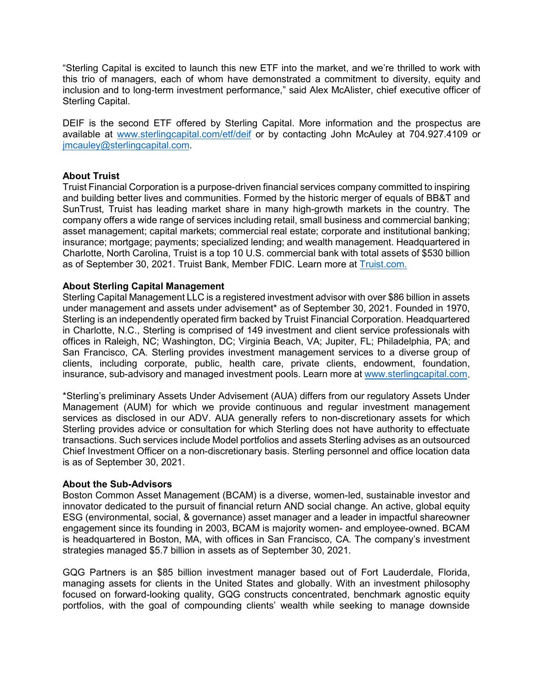"Sterling Capital is excited to launch this new ETF into the market, and we're thrilled to work with this trio of managers, each of whom have demonstrated a commitment to diversity, equity and inclusion and to long-term investment performance," said Alex McAlister, chief executive officer of Sterling Capital.

DEIF is the second ETF offered by Sterling Capital. More information and the prospectus are available at [www.sterlingcapital.com/etf/deif](http://www.sterlingcapital.com/etf/deif) or by contacting John McAuley at 704.927.4109 or [jmcauley@sterlingcapital.com.](mailto:jmcauley@sterlingcapital.com)

# **About Truist**

Truist Financial Corporation is a purpose-driven financial services company committed to inspiring and building better lives and communities. Formed by the historic merger of equals of BB&T and SunTrust, Truist has leading market share in many high-growth markets in the country. The company offers a wide range of services including retail, small business and commercial banking; asset management; capital markets; commercial real estate; corporate and institutional banking; insurance; mortgage; payments; specialized lending; and wealth management. Headquartered in Charlotte, North Carolina, Truist is a top 10 U.S. commercial bank with total assets of \$530 billion as of September 30, 2021. Truist Bank, Member FDIC. Learn more at [Truist.com.](https://www.truist.com/)

## **About Sterling Capital Management**

Sterling Capital Management LLC is a registered investment advisor with over \$86 billion in assets under management and assets under advisement\* as of September 30, 2021. Founded in 1970, Sterling is an independently operated firm backed by Truist Financial Corporation. Headquartered in Charlotte, N.C., Sterling is comprised of 149 investment and client service professionals with offices in Raleigh, NC; Washington, DC; Virginia Beach, VA; Jupiter, FL; Philadelphia, PA; and San Francisco, CA. Sterling provides investment management services to a diverse group of clients, including corporate, public, health care, private clients, endowment, foundation, insurance, sub-advisory and managed investment pools. Learn more at [www.sterlingcapital.com.](http://www.sterlingcapital.com/)

\*Sterling's preliminary Assets Under Advisement (AUA) differs from our regulatory Assets Under Management (AUM) for which we provide continuous and regular investment management services as disclosed in our ADV. AUA generally refers to non-discretionary assets for which Sterling provides advice or consultation for which Sterling does not have authority to effectuate transactions. Such services include Model portfolios and assets Sterling advises as an outsourced Chief Investment Officer on a non-discretionary basis. Sterling personnel and office location data is as of September 30, 2021.

## **About the Sub-Advisors**

Boston Common Asset Management (BCAM) is a diverse, women-led, sustainable investor and innovator dedicated to the pursuit of financial return AND social change. An active, global equity ESG (environmental, social, & governance) asset manager and a leader in impactful shareowner engagement since its founding in 2003, BCAM is majority women- and employee-owned. BCAM is headquartered in Boston, MA, with offices in San Francisco, CA. The company's investment strategies managed \$5.7 billion in assets as of September 30, 2021.

GQG Partners is an \$85 billion investment manager based out of Fort Lauderdale, Florida, managing assets for clients in the United States and globally. With an investment philosophy focused on forward-looking quality, GQG constructs concentrated, benchmark agnostic equity portfolios, with the goal of compounding clients' wealth while seeking to manage downside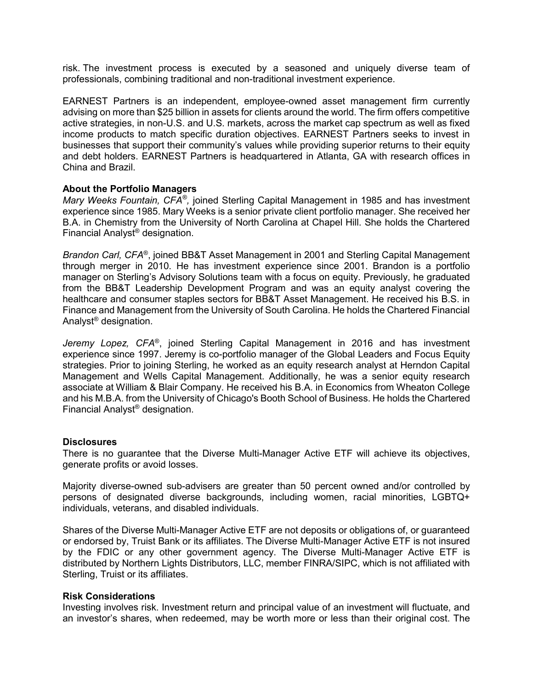risk. The investment process is executed by a seasoned and uniquely diverse team of professionals, combining traditional and non-traditional investment experience.

EARNEST Partners is an independent, employee-owned asset management firm currently advising on more than \$25 billion in assets for clients around the world. The firm offers competitive active strategies, in non-U.S. and U.S. markets, across the market cap spectrum as well as fixed income products to match specific duration objectives. EARNEST Partners seeks to invest in businesses that support their community's values while providing superior returns to their equity and debt holders. EARNEST Partners is headquartered in Atlanta, GA with research offices in China and Brazil.

#### **About the Portfolio Managers**

*Mary Weeks Fountain, CFA®,* joined Sterling Capital Management in 1985 and has investment experience since 1985. Mary Weeks is a senior private client portfolio manager. She received her B.A. in Chemistry from the University of North Carolina at Chapel Hill. She holds the Chartered Financial Analyst® designation.

*Brandon Carl, CFA*®, joined BB&T Asset Management in 2001 and Sterling Capital Management through merger in 2010. He has investment experience since 2001. Brandon is a portfolio manager on Sterling's Advisory Solutions team with a focus on equity. Previously, he graduated from the BB&T Leadership Development Program and was an equity analyst covering the healthcare and consumer staples sectors for BB&T Asset Management. He received his B.S. in Finance and Management from the University of South Carolina. He holds the Chartered Financial Analyst® designation.

*Jeremy Lopez, CFA*®, joined Sterling Capital Management in 2016 and has investment experience since 1997. Jeremy is co-portfolio manager of the Global Leaders and Focus Equity strategies. Prior to joining Sterling, he worked as an equity research analyst at Herndon Capital Management and Wells Capital Management. Additionally, he was a senior equity research associate at William & Blair Company. He received his B.A. in Economics from Wheaton College and his M.B.A. from the University of Chicago's Booth School of Business. He holds the Chartered Financial Analyst® designation.

#### **Disclosures**

There is no guarantee that the Diverse Multi-Manager Active ETF will achieve its objectives, generate profits or avoid losses.

Majority diverse-owned sub-advisers are greater than 50 percent owned and/or controlled by persons of designated diverse backgrounds, including women, racial minorities, LGBTQ+ individuals, veterans, and disabled individuals.

Shares of the Diverse Multi-Manager Active ETF are not deposits or obligations of, or guaranteed or endorsed by, Truist Bank or its affiliates. The Diverse Multi-Manager Active ETF is not insured by the FDIC or any other government agency. The Diverse Multi-Manager Active ETF is distributed by Northern Lights Distributors, LLC, member FINRA/SIPC, which is not affiliated with Sterling, Truist or its affiliates.

#### **Risk Considerations**

Investing involves risk. Investment return and principal value of an investment will fluctuate, and an investor's shares, when redeemed, may be worth more or less than their original cost. The